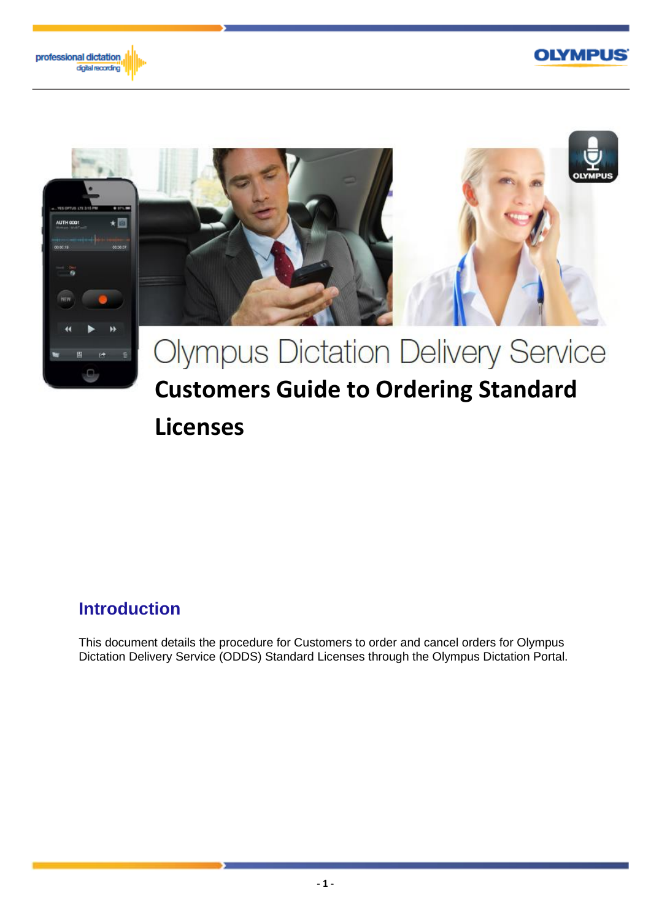





## **Licenses**

## **Introduction**

This document details the procedure for Customers to order and cancel orders for Olympus Dictation Delivery Service (ODDS) Standard Licenses through the Olympus Dictation Portal.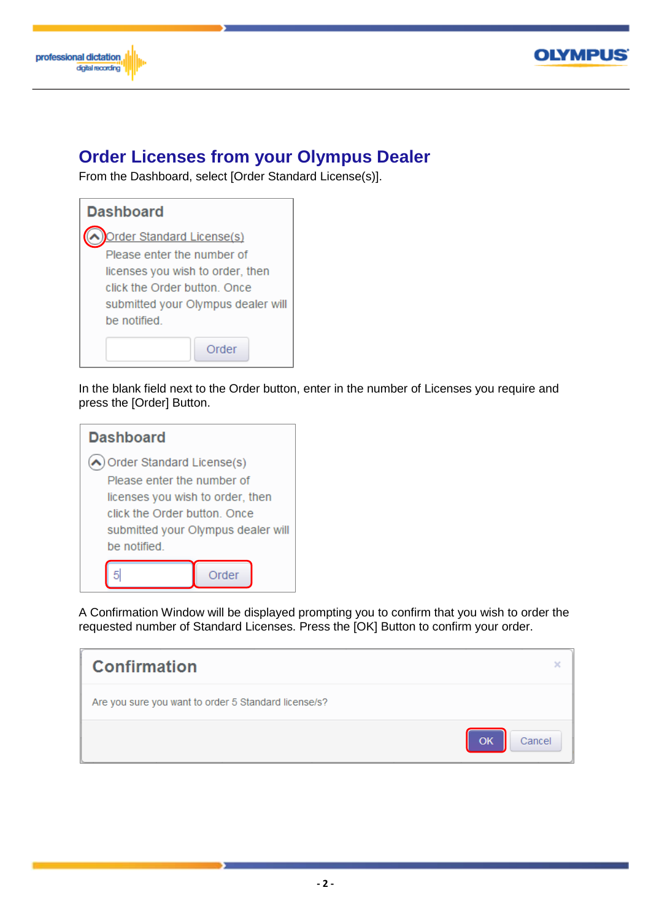



## **Order Licenses from your Olympus Dealer**

From the Dashboard, select [Order Standard License(s)].

| <b>Dashboard</b>                   |  |
|------------------------------------|--|
| Order Standard License(s)          |  |
| Please enter the number of         |  |
| licenses you wish to order, then   |  |
| click the Order button, Once       |  |
| submitted your Olympus dealer will |  |
| be notified                        |  |
| ∩rder                              |  |

In the blank field next to the Order button, enter in the number of Licenses you require and press the [Order] Button.



A Confirmation Window will be displayed prompting you to confirm that you wish to order the requested number of Standard Licenses. Press the [OK] Button to confirm your order.

| <b>Confirmation</b>                                  | ×                   |
|------------------------------------------------------|---------------------|
| Are you sure you want to order 5 Standard license/s? |                     |
|                                                      | <b>OK</b><br>Cancel |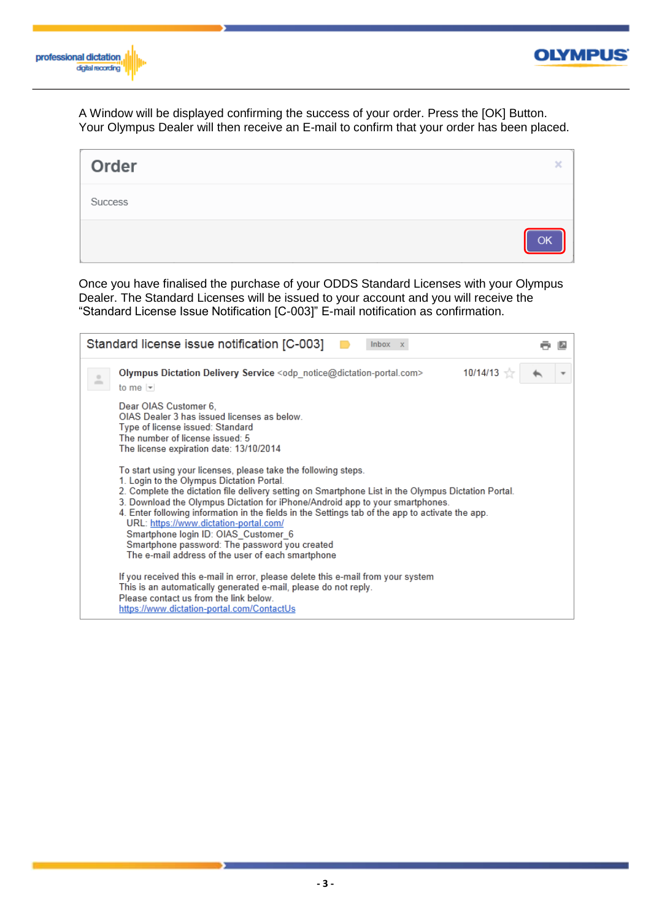



A Window will be displayed confirming the success of your order. Press the [OK] Button. Your Olympus Dealer will then receive an E-mail to confirm that your order has been placed.

| Order   | ×  |
|---------|----|
| Success |    |
|         | OK |

Once you have finalised the purchase of your ODDS Standard Licenses with your Olympus Dealer. The Standard Licenses will be issued to your account and you will receive the "Standard License Issue Notification [C-003]" E-mail notification as confirmation.

| Standard license issue notification [C-003]<br>Inbox x                                                                                                                                                                                                                                                                                                                                                                                                                                                                                                                                          |  |
|-------------------------------------------------------------------------------------------------------------------------------------------------------------------------------------------------------------------------------------------------------------------------------------------------------------------------------------------------------------------------------------------------------------------------------------------------------------------------------------------------------------------------------------------------------------------------------------------------|--|
| $10/14/13 =$<br>Olympus Dictation Delivery Service $\langle$ odp notice@dictation-portal.com><br>to me $\vert \mathbf{v} \vert$                                                                                                                                                                                                                                                                                                                                                                                                                                                                 |  |
| Dear OIAS Customer 6.<br>OIAS Dealer 3 has issued licenses as below.<br>Type of license issued: Standard<br>The number of license issued: 5<br>The license expiration date: 13/10/2014                                                                                                                                                                                                                                                                                                                                                                                                          |  |
| To start using your licenses, please take the following steps.<br>1. Login to the Olympus Dictation Portal.<br>2. Complete the dictation file delivery setting on Smartphone List in the Olympus Dictation Portal.<br>3. Download the Olympus Dictation for iPhone/Android app to your smartphones.<br>4. Enter following information in the fields in the Settings tab of the app to activate the app.<br>URL: https://www.dictation-portal.com/<br>Smartphone login ID: OIAS Customer 6<br>Smartphone password: The password you created<br>The e-mail address of the user of each smartphone |  |
| If you received this e-mail in error, please delete this e-mail from your system<br>This is an automatically generated e-mail, please do not reply.<br>Please contact us from the link below.<br>https://www.dictation-portal.com/ContactUs                                                                                                                                                                                                                                                                                                                                                     |  |